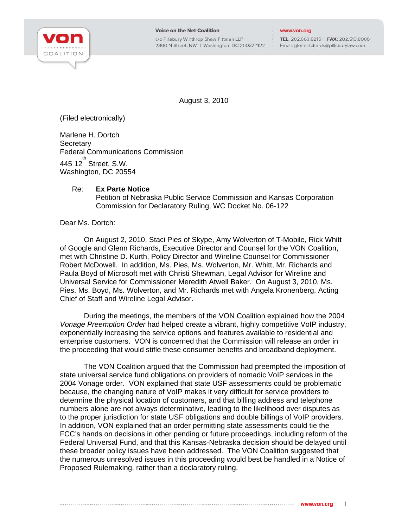

c/o Pillsbury Winthrop Shaw Pittman LLP 2300 N Street, NW | Washington, DC 20037-1122

TEL: 202.663.8215 | FAX: 202.513.8006 Email: glenn.richards@pillsburylaw.com

August 3, 2010

(Filed electronically)

Marlene H. Dortch **Secretary** Federal Communications Commission  $445$  12 $^{th}$  Street, S.W. Washington, DC 20554

## Re: **Ex Parte Notice**

Petition of Nebraska Public Service Commission and Kansas Corporation Commission for Declaratory Ruling, WC Docket No. 06-122

Dear Ms. Dortch:

On August 2, 2010, Staci Pies of Skype, Amy Wolverton of T-Mobile, Rick Whitt of Google and Glenn Richards, Executive Director and Counsel for the VON Coalition, met with Christine D. Kurth, Policy Director and Wireline Counsel for Commissioner Robert McDowell. In addition, Ms. Pies, Ms. Wolverton, Mr. Whitt, Mr. Richards and Paula Boyd of Microsoft met with Christi Shewman, Legal Advisor for Wireline and Universal Service for Commissioner Meredith Atwell Baker. On August 3, 2010, Ms. Pies, Ms. Boyd, Ms. Wolverton, and Mr. Richards met with Angela Kronenberg, Acting Chief of Staff and Wireline Legal Advisor.

During the meetings, the members of the VON Coalition explained how the 2004 *Vonage Preemption Order* had helped create a vibrant, highly competitive VoIP industry, exponentially increasing the service options and features available to residential and enterprise customers. VON is concerned that the Commission will release an order in the proceeding that would stifle these consumer benefits and broadband deployment.

The VON Coalition argued that the Commission had preempted the imposition of state universal service fund obligations on providers of nomadic VoIP services in the 2004 Vonage order. VON explained that state USF assessments could be problematic because, the changing nature of VoIP makes it very difficult for service providers to determine the physical location of customers, and that billing address and telephone numbers alone are not always determinative, leading to the likelihood over disputes as to the proper jurisdiction for state USF obligations and double billings of VoIP providers. In addition, VON explained that an order permitting state assessments could tie the FCC's hands on decisions in other pending or future proceedings, including reform of the Federal Universal Fund, and that this Kansas-Nebraska decision should be delayed until these broader policy issues have been addressed. The VON Coalition suggested that the numerous unresolved issues in this proceeding would best be handled in a Notice of Proposed Rulemaking, rather than a declaratory ruling.